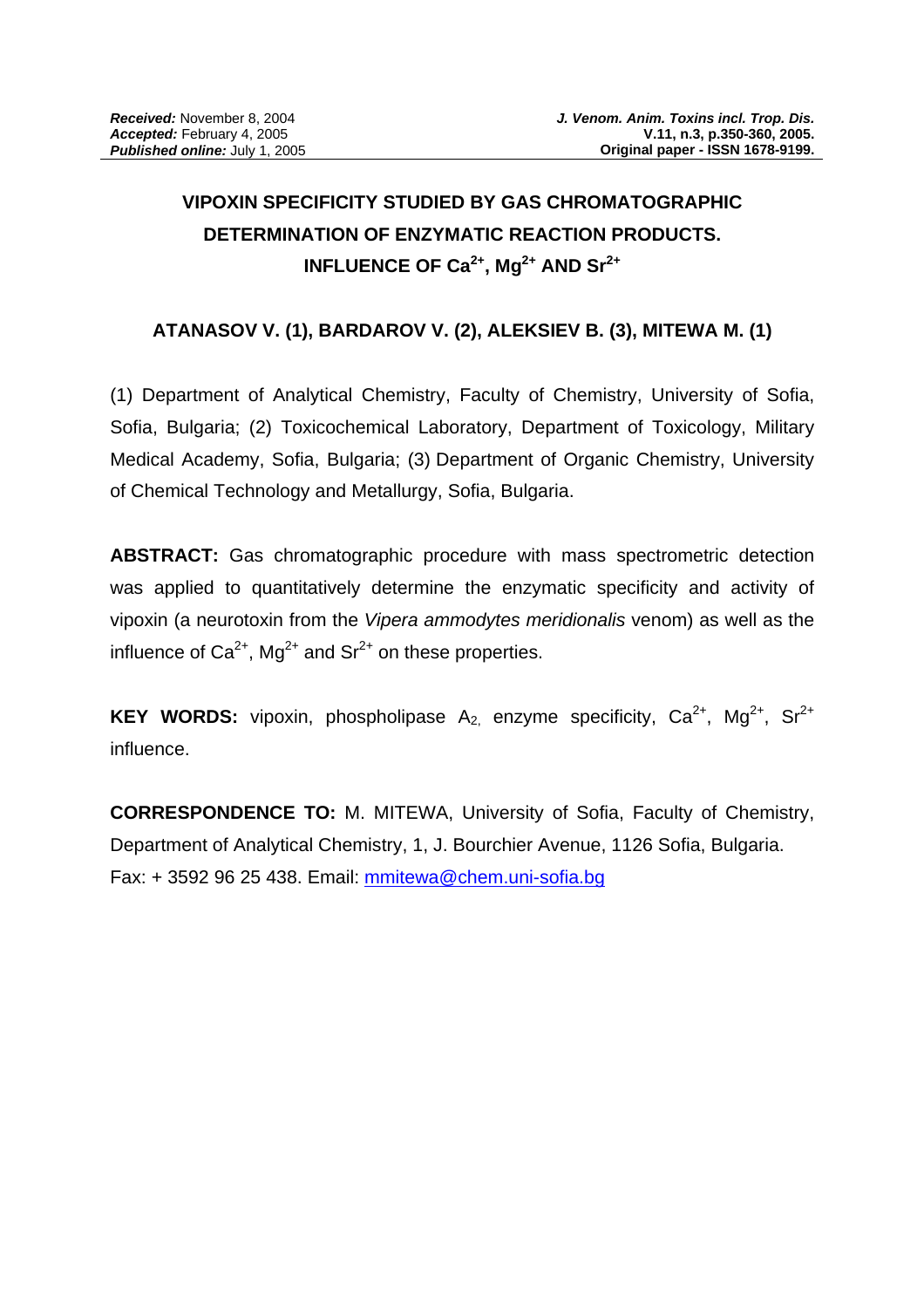# **VIPOXIN SPECIFICITY STUDIED BY GAS CHROMATOGRAPHIC DETERMINATION OF ENZYMATIC REACTION PRODUCTS. INFLUENCE OF Ca<sup>2+</sup>, Mg<sup>2+</sup> AND Sr<sup>2+</sup>**

## **ATANASOV V. (1), BARDAROV V. (2), ALEKSIEV B. (3), MITEWA M. (1)**

(1) Department of Analytical Chemistry, Faculty of Chemistry, University of Sofia, Sofia, Bulgaria; (2) Toxicochemical Laboratory, Department of Toxicology, Military Medical Academy, Sofia, Bulgaria; (3) Department of Organic Chemistry, University of Chemical Technology and Metallurgy, Sofia, Bulgaria.

**ABSTRACT:** Gas chromatographic procedure with mass spectrometric detection was applied to quantitatively determine the enzymatic specificity and activity of vipoxin (a neurotoxin from the *Vipera ammodytes meridionalis* venom) as well as the influence of  $Ca^{2+}$ , Mg<sup>2+</sup> and Sr<sup>2+</sup> on these properties.

KEY WORDS: vipoxin, phospholipase A<sub>2,</sub> enzyme specificity, Ca<sup>2+</sup>, Mg<sup>2+</sup>, Sr<sup>2+</sup> influence.

**CORRESPONDENCE TO:** M. MITEWA, University of Sofia, Faculty of Chemistry, Department of Analytical Chemistry, 1, J. Bourchier Avenue, 1126 Sofia, Bulgaria. Fax: + 3592 96 25 438. Email: mmitewa@chem.uni-sofia.bg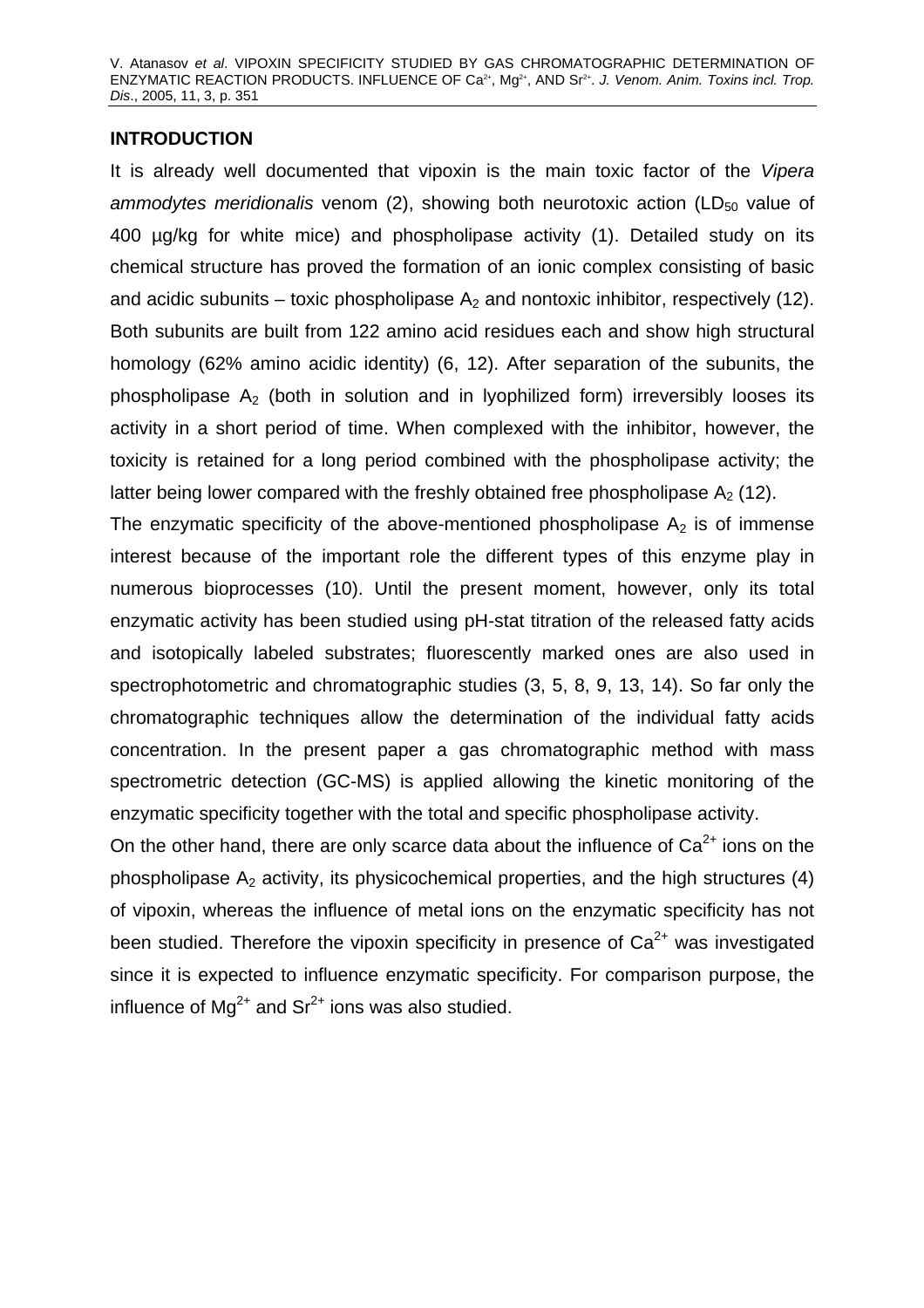### **INTRODUCTION**

It is already well documented that vipoxin is the main toxic factor of the *Vipera ammodytes meridionalis* venom (2), showing both neurotoxic action (LD<sub>50</sub> value of 400 µg/kg for white mice) and phospholipase activity (1). Detailed study on its chemical structure has proved the formation of an ionic complex consisting of basic and acidic subunits – toxic phospholipase  $A_2$  and nontoxic inhibitor, respectively (12). Both subunits are built from 122 amino acid residues each and show high structural homology (62% amino acidic identity) (6, 12). After separation of the subunits, the phospholipase  $A<sub>2</sub>$  (both in solution and in lyophilized form) irreversibly looses its activity in a short period of time. When complexed with the inhibitor, however, the toxicity is retained for a long period combined with the phospholipase activity; the latter being lower compared with the freshly obtained free phospholipase  $A_2$  (12).

The enzymatic specificity of the above-mentioned phospholipase  $A_2$  is of immense interest because of the important role the different types of this enzyme play in numerous bioprocesses (10). Until the present moment, however, only its total enzymatic activity has been studied using pH-stat titration of the released fatty acids and isotopically labeled substrates; fluorescently marked ones are also used in spectrophotometric and chromatographic studies (3, 5, 8, 9, 13, 14). So far only the chromatographic techniques allow the determination of the individual fatty acids concentration. In the present paper a gas chromatographic method with mass spectrometric detection (GC-MS) is applied allowing the kinetic monitoring of the enzymatic specificity together with the total and specific phospholipase activity.

On the other hand, there are only scarce data about the influence of  $Ca<sup>2+</sup>$  ions on the phospholipase  $A_2$  activity, its physicochemical properties, and the high structures (4) of vipoxin, whereas the influence of metal ions on the enzymatic specificity has not been studied. Therefore the vipoxin specificity in presence of  $Ca<sup>2+</sup>$  was investigated since it is expected to influence enzymatic specificity. For comparison purpose, the influence of  $Mg^{2+}$  and  $Sr^{2+}$  ions was also studied.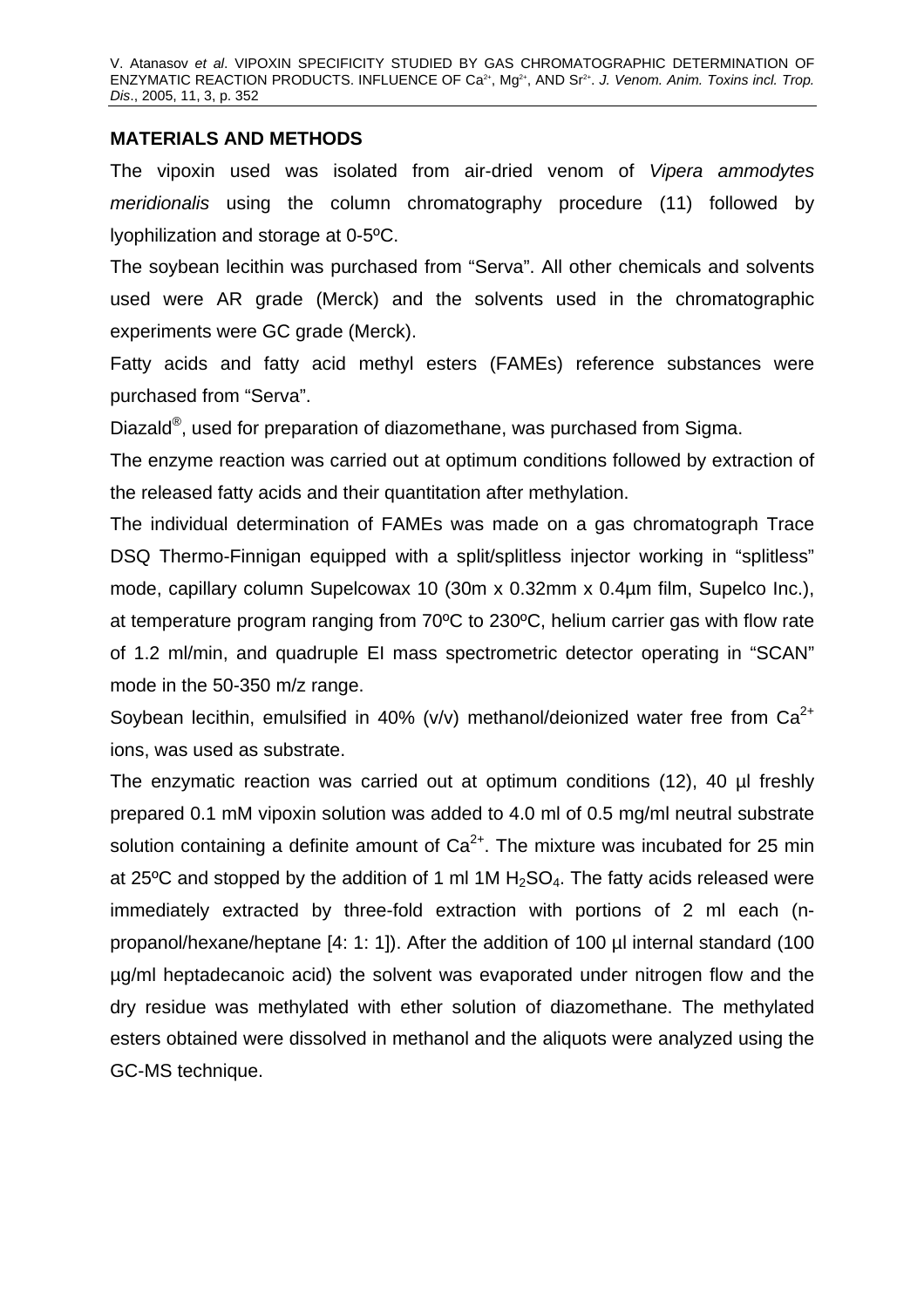#### **MATERIALS AND METHODS**

The vipoxin used was isolated from air-dried venom of *Vipera ammodytes meridionalis* using the column chromatography procedure (11) followed by lyophilization and storage at 0-5ºC.

The soybean lecithin was purchased from "Serva". All other chemicals and solvents used were AR grade (Merck) and the solvents used in the chromatographic experiments were GC grade (Merck).

Fatty acids and fatty acid methyl esters (FAMEs) reference substances were purchased from "Serva".

Diazald®, used for preparation of diazomethane, was purchased from Sigma.

The enzyme reaction was carried out at optimum conditions followed by extraction of the released fatty acids and their quantitation after methylation.

The individual determination of FAMEs was made on a gas chromatograph Trace DSQ Thermo-Finnigan equipped with a split/splitless injector working in "splitless" mode, capillary column Supelcowax 10 (30m x 0.32mm x 0.4µm film, Supelco Inc.), at temperature program ranging from 70ºC to 230ºC, helium carrier gas with flow rate of 1.2 ml/min, and quadruple EI mass spectrometric detector operating in "SCAN" mode in the 50-350 m/z range.

Soybean lecithin, emulsified in 40% (v/v) methanol/deionized water free from  $Ca^{2+}$ ions, was used as substrate.

The enzymatic reaction was carried out at optimum conditions (12), 40 µl freshly prepared 0.1 mM vipoxin solution was added to 4.0 ml of 0.5 mg/ml neutral substrate solution containing a definite amount of  $Ca<sup>2+</sup>$ . The mixture was incubated for 25 min at 25 $\degree$ C and stopped by the addition of 1 ml 1M H<sub>2</sub>SO<sub>4</sub>. The fatty acids released were immediately extracted by three-fold extraction with portions of 2 ml each (npropanol/hexane/heptane [4: 1: 1]). After the addition of 100 µl internal standard (100 µg/ml heptadecanoic acid) the solvent was evaporated under nitrogen flow and the dry residue was methylated with ether solution of diazomethane. The methylated esters obtained were dissolved in methanol and the aliquots were analyzed using the GC-MS technique.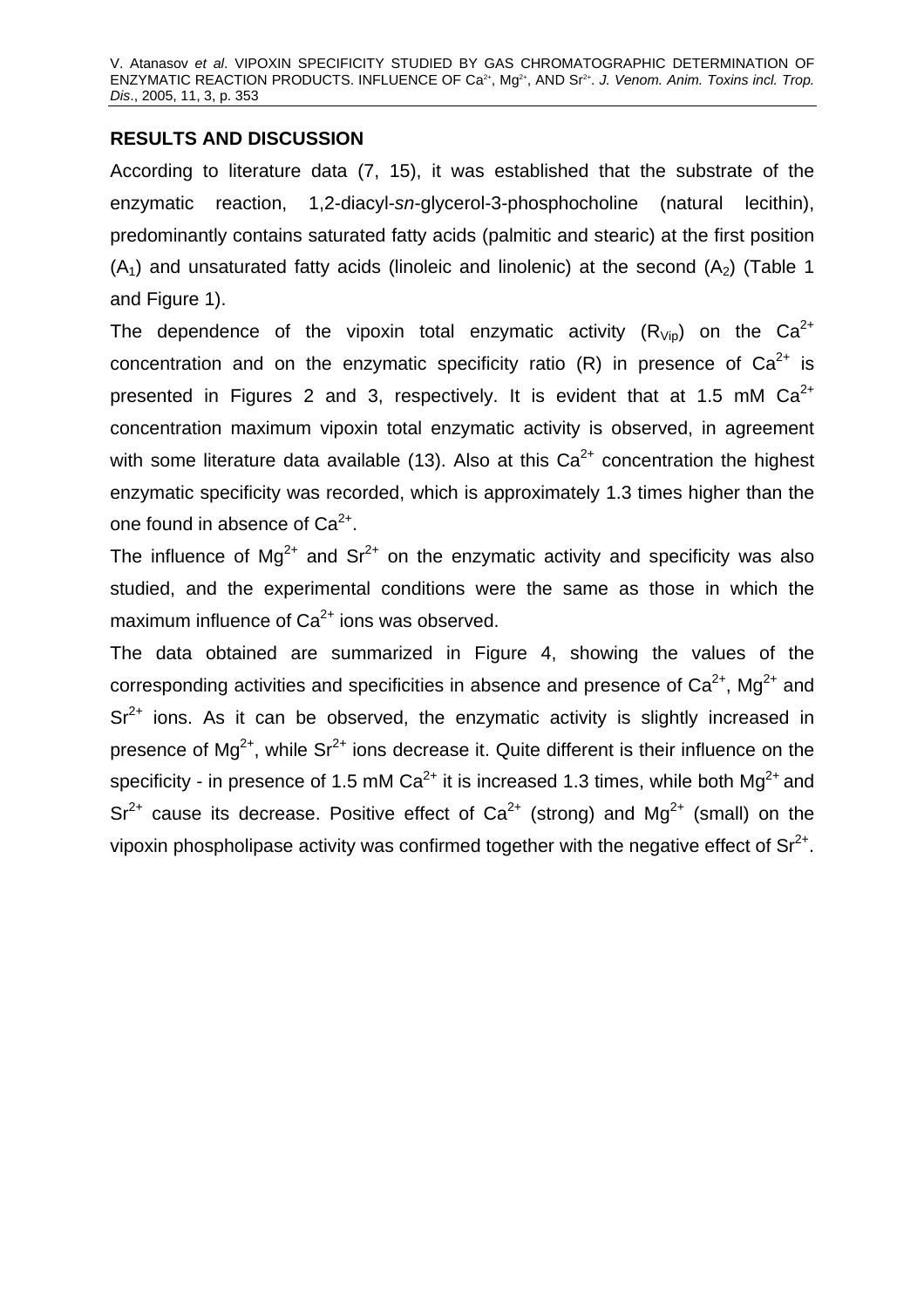## **RESULTS AND DISCUSSION**

According to literature data (7, 15), it was established that the substrate of the enzymatic reaction, 1,2-diacyl-*sn*-glycerol-3-phosphocholine (natural lecithin), predominantly contains saturated fatty acids (palmitic and stearic) at the first position  $(A_1)$  and unsaturated fatty acids (linoleic and linolenic) at the second  $(A_2)$  (Table 1 and Figure 1).

The dependence of the vipoxin total enzymatic activity  $(R_{\text{Vin}})$  on the Ca<sup>2+</sup> concentration and on the enzymatic specificity ratio  $(R)$  in presence of  $Ca^{2+}$  is presented in Figures 2 and 3, respectively. It is evident that at 1.5 mM  $Ca^{2+}$ concentration maximum vipoxin total enzymatic activity is observed, in agreement with some literature data available (13). Also at this  $Ca<sup>2+</sup>$  concentration the highest enzymatic specificity was recorded, which is approximately 1.3 times higher than the one found in absence of  $Ca^{2+}$ .

The influence of  $Mg^{2+}$  and  $Sr^{2+}$  on the enzymatic activity and specificity was also studied, and the experimental conditions were the same as those in which the maximum influence of  $Ca^{2+}$  ions was observed.

The data obtained are summarized in Figure 4, showing the values of the corresponding activities and specificities in absence and presence of  $Ca^{2+}$ , Mg<sup>2+</sup> and  $Sr<sup>2+</sup>$  ions. As it can be observed, the enzymatic activity is slightly increased in presence of  $Ma^{2+}$ , while  $Sr^{2+}$  ions decrease it. Quite different is their influence on the specificity - in presence of 1.5 mM  $Ca^{2+}$  it is increased 1.3 times, while both  $Ma^{2+}$  and  $Sr^{2+}$  cause its decrease. Positive effect of  $Ca^{2+}$  (strong) and Mg<sup>2+</sup> (small) on the vipoxin phospholipase activity was confirmed together with the negative effect of  $Sr^{2+}$ .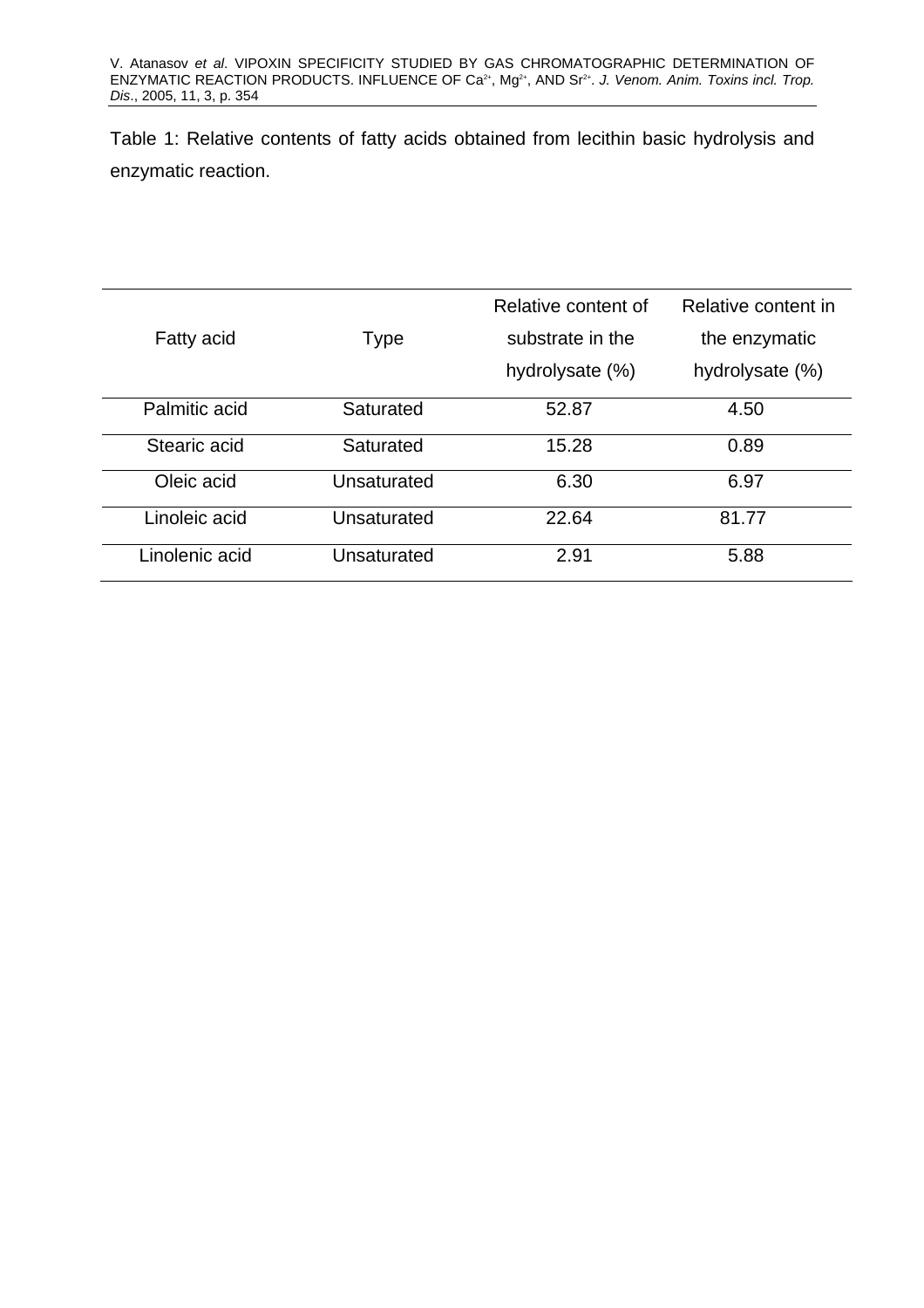Table 1: Relative contents of fatty acids obtained from lecithin basic hydrolysis and enzymatic reaction.

|                   |             | Relative content of | Relative content in |
|-------------------|-------------|---------------------|---------------------|
| <b>Fatty acid</b> | <b>Type</b> | substrate in the    | the enzymatic       |
|                   |             | hydrolysate (%)     | hydrolysate (%)     |
| Palmitic acid     | Saturated   | 52.87               | 4.50                |
| Stearic acid      | Saturated   | 15.28               | 0.89                |
| Oleic acid        | Unsaturated | 6.30                | 6.97                |
| Linoleic acid     | Unsaturated | 22.64               | 81.77               |
| Linolenic acid    | Unsaturated | 2.91                | 5.88                |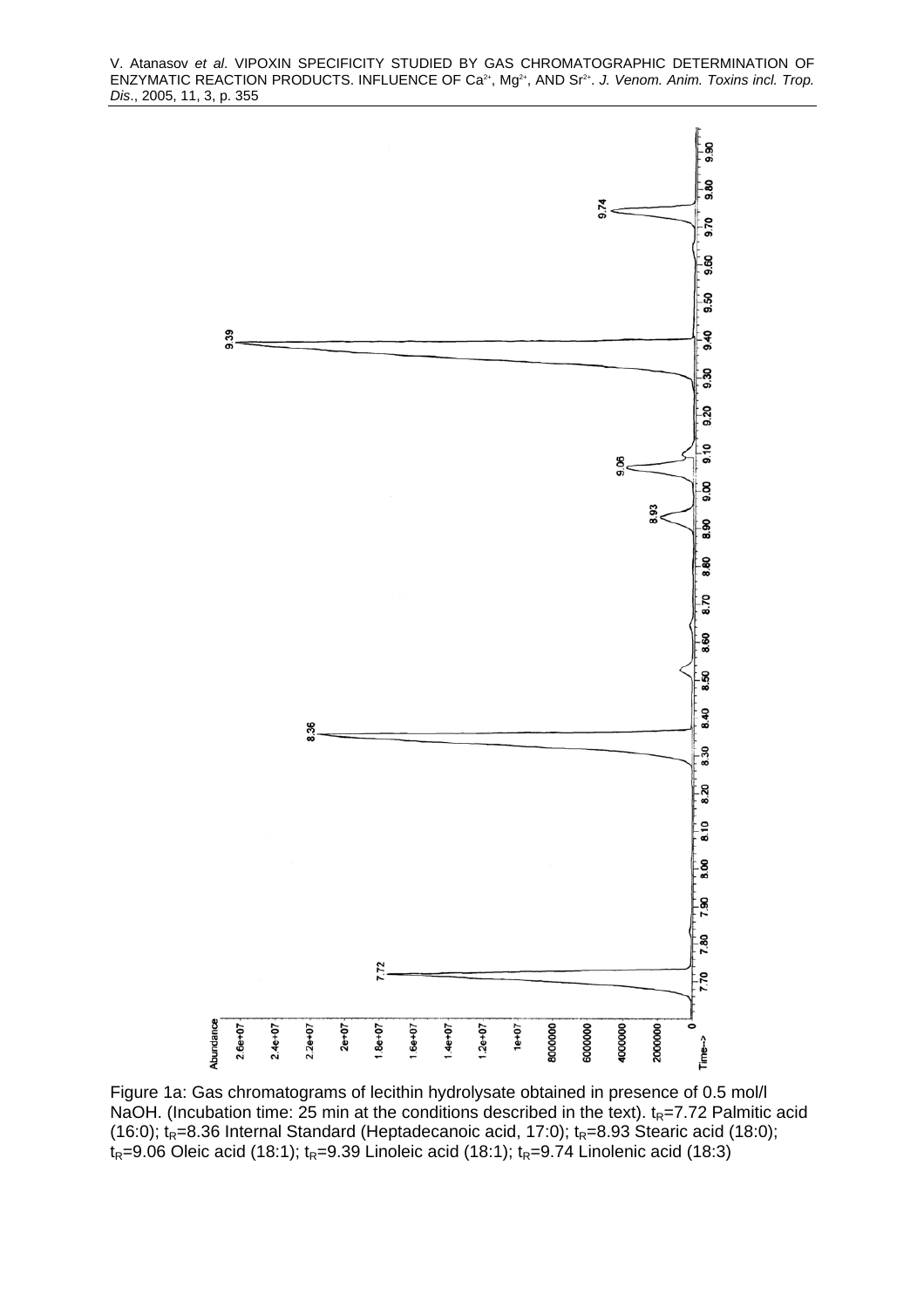

Figure 1a: Gas chromatograms of lecithin hydrolysate obtained in presence of 0.5 mol/l NaOH. (Incubation time: 25 min at the conditions described in the text).  $t_R$ =7.72 Palmitic acid (16:0);  $t_R$ =8.36 Internal Standard (Heptadecanoic acid, 17:0);  $t_R$ =8.93 Stearic acid (18:0);  $t_R$ =9.06 Oleic acid (18:1);  $t_R$ =9.39 Linoleic acid (18:1);  $t_R$ =9.74 Linolenic acid (18:3)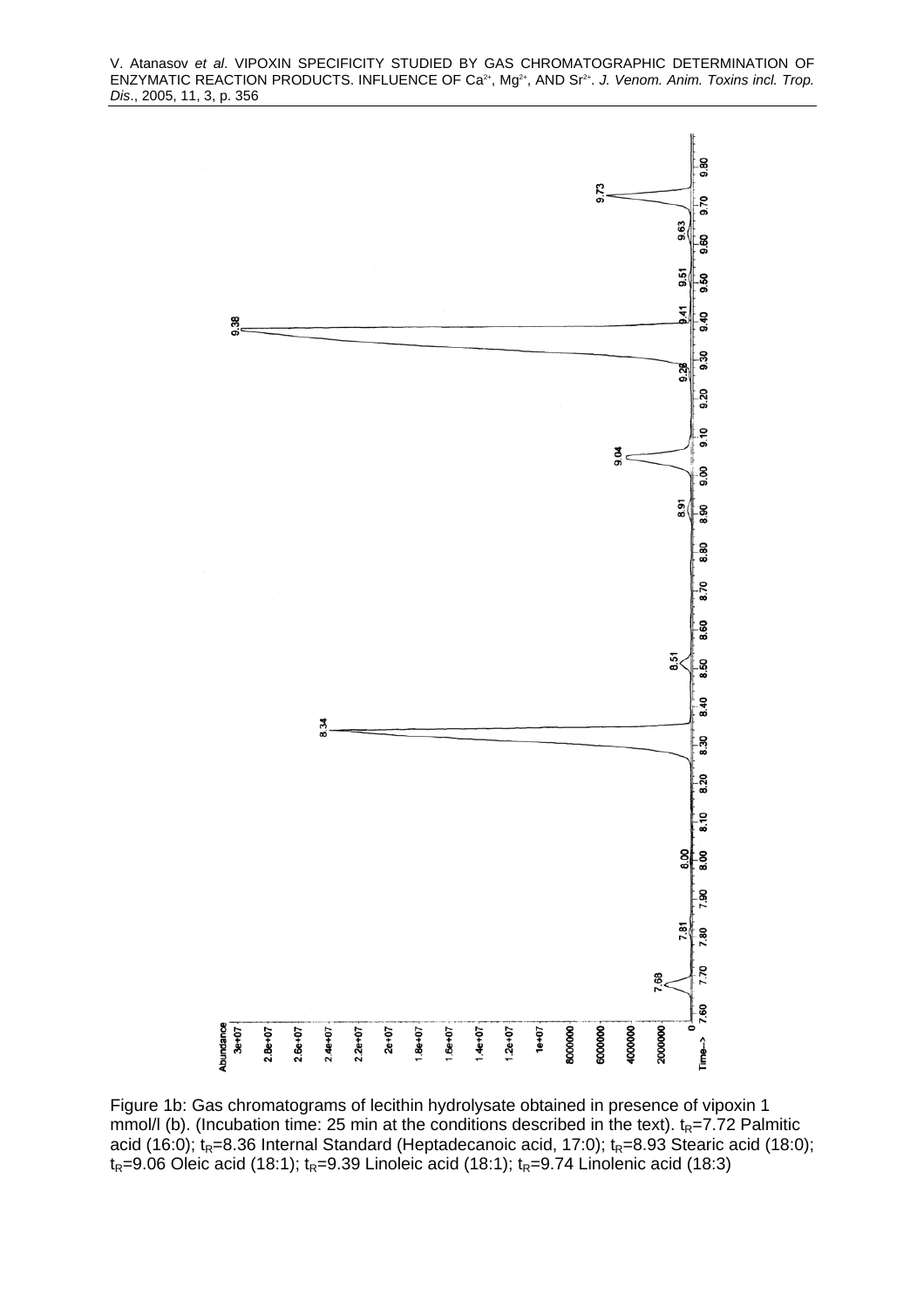

Figure 1b: Gas chromatograms of lecithin hydrolysate obtained in presence of vipoxin 1 mmol/l (b). (Incubation time: 25 min at the conditions described in the text).  $t_R$ =7.72 Palmitic acid (16:0);  $t_R=8.36$  Internal Standard (Heptadecanoic acid, 17:0);  $t_R=8.93$  Stearic acid (18:0);  $t_R$ =9.06 Oleic acid (18:1);  $t_R$ =9.39 Linoleic acid (18:1);  $t_R$ =9.74 Linolenic acid (18:3)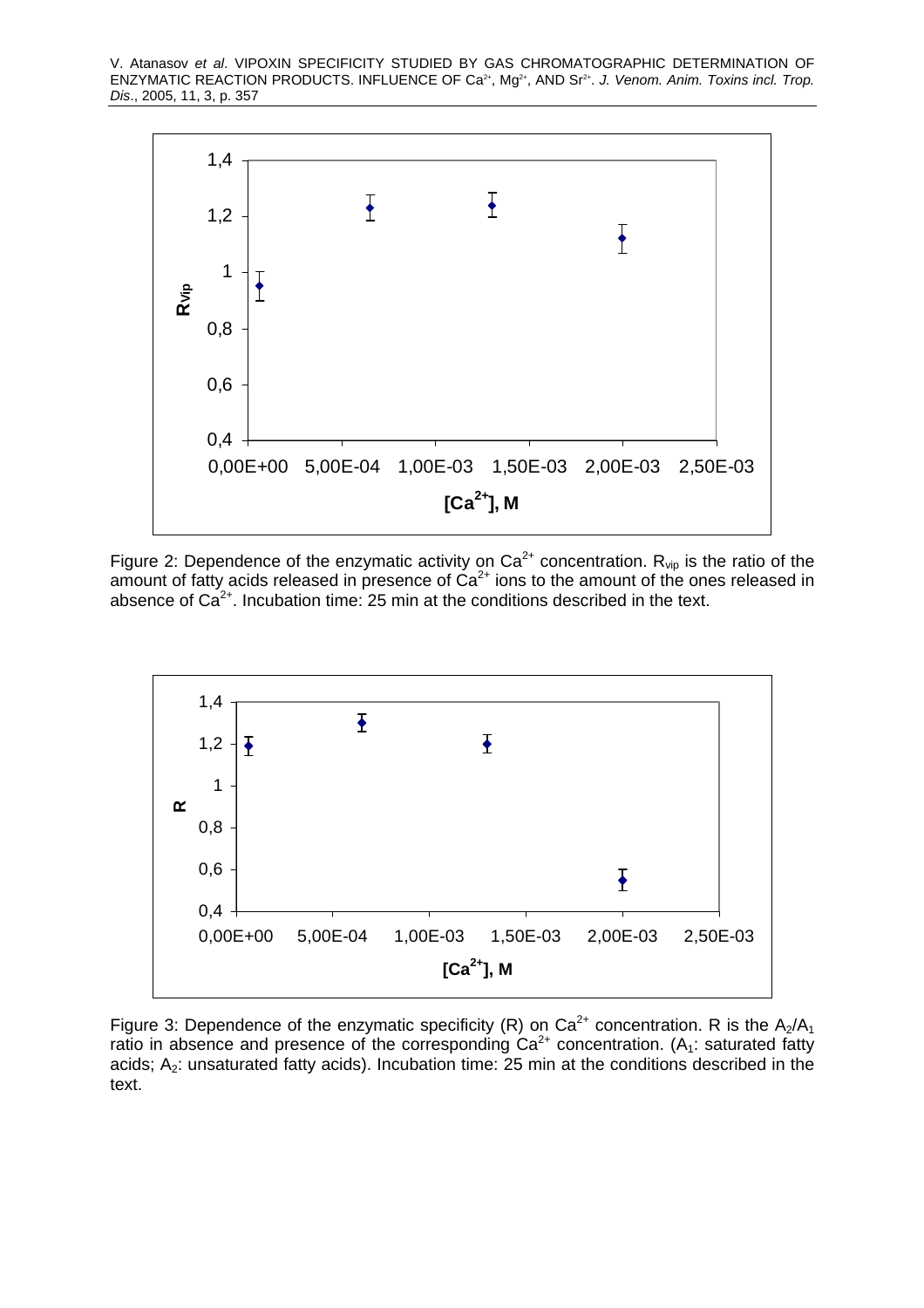

Figure 2: Dependence of the enzymatic activity on  $Ca^{2+}$  concentration.  $R_{\text{vip}}$  is the ratio of the amount of fatty acids released in presence of  $Ca^{2+}$  ions to the amount of the ones released in absence of  $Ca^{2+}$ . Incubation time: 25 min at the conditions described in the text.



Figure 3: Dependence of the enzymatic specificity (R) on Ca<sup>2+</sup> concentration. R is the  $A_2/A_1$ ratio in absence and presence of the corresponding  $Ca^{2+}$  concentration. (A<sub>1</sub>: saturated fatty acids;  $A_2$ : unsaturated fatty acids). Incubation time: 25 min at the conditions described in the text.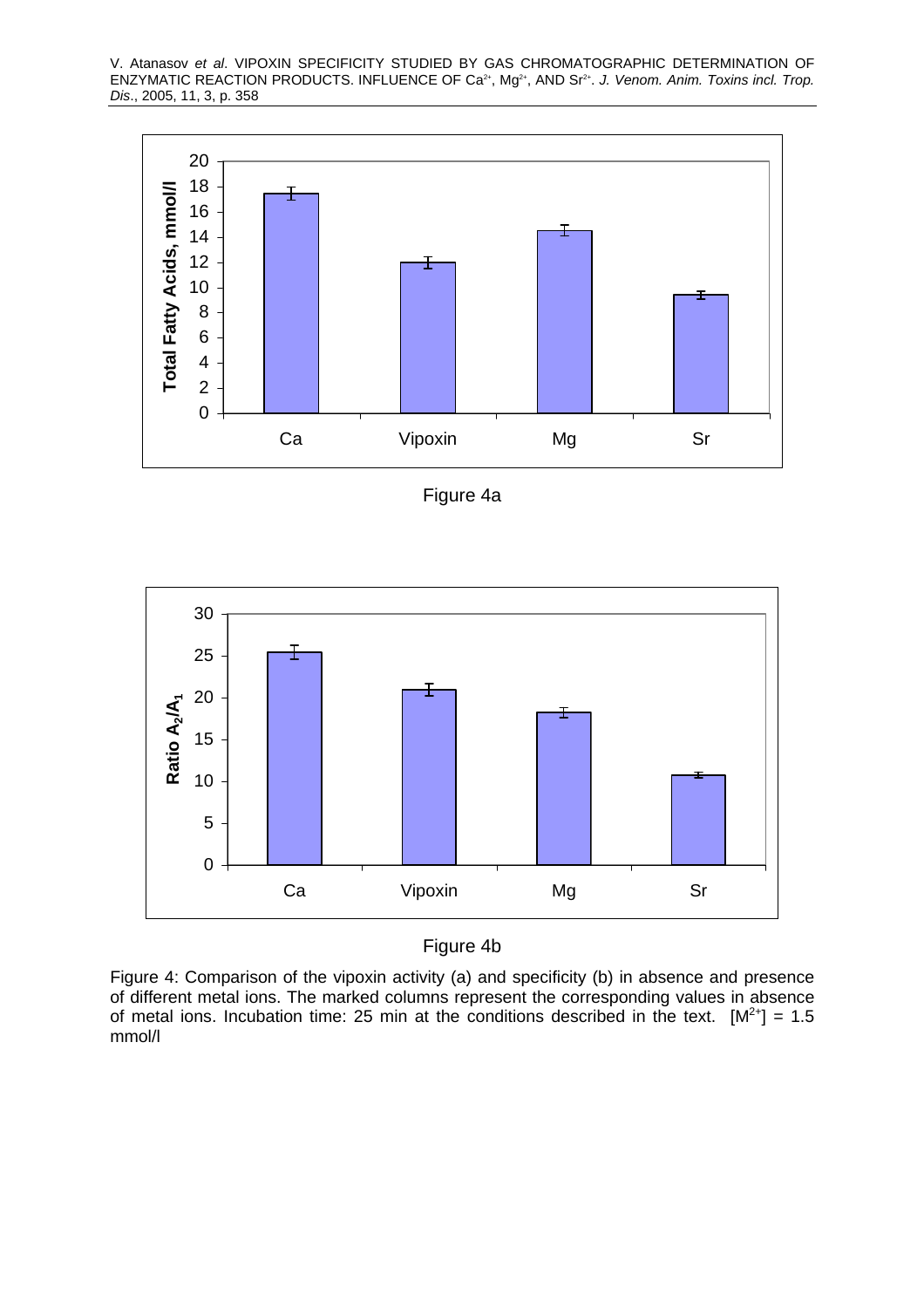

Figure 4a



Figure 4b

Figure 4: Comparison of the vipoxin activity (a) and specificity (b) in absence and presence of different metal ions. The marked columns represent the corresponding values in absence of metal ions. Incubation time: 25 min at the conditions described in the text.  $[M^{2+}] = 1.5$ mmol/l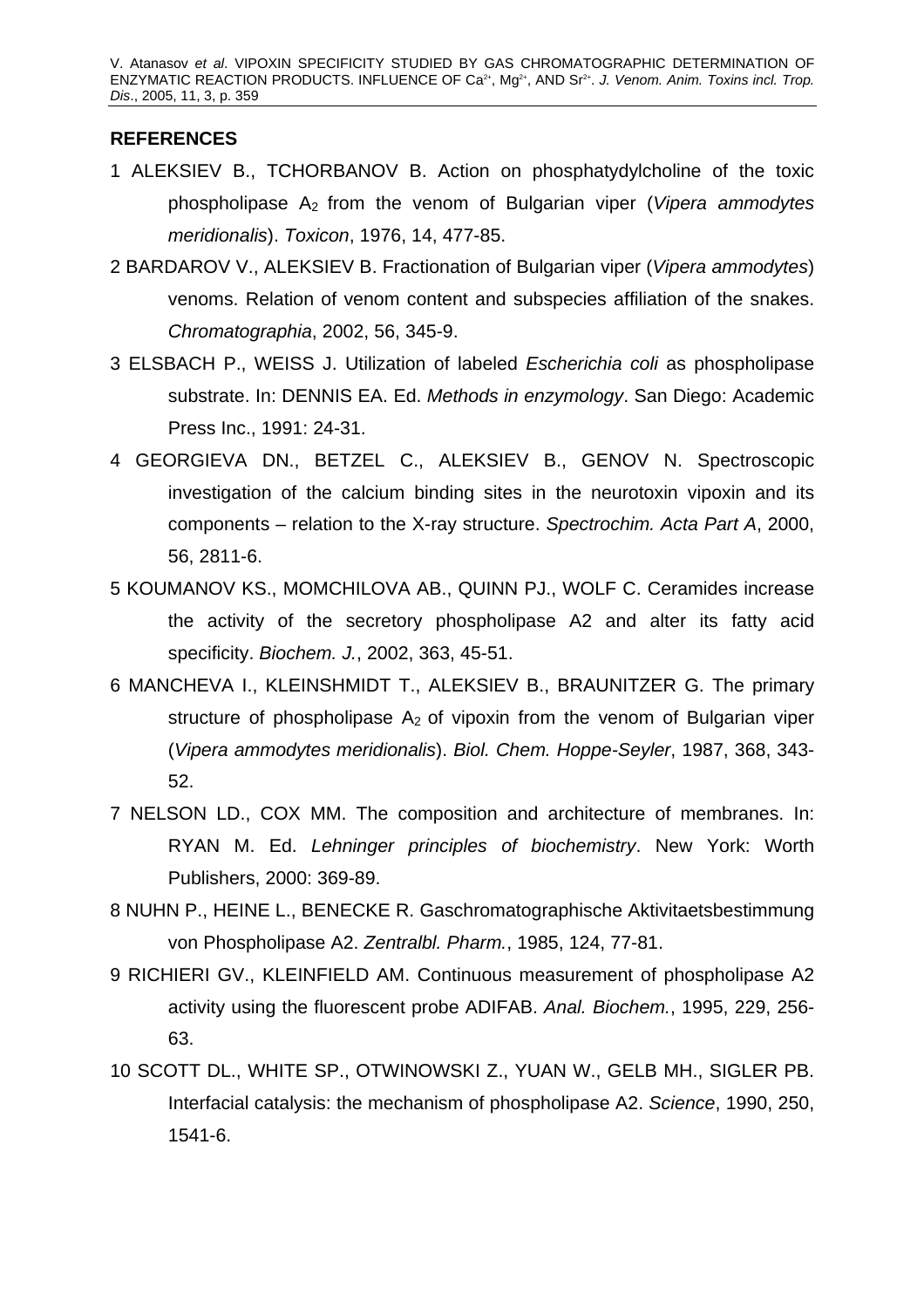## **REFERENCES**

- 1 ALEKSIEV B., TCHORBANOV B. Action on phosphatydylcholine of the toxic phospholipase A2 from the venom of Bulgarian viper (*Vipera ammodytes meridionalis*). *Toxicon*, 1976, 14, 477-85.
- 2 BARDAROV V., ALEKSIEV B. Fractionation of Bulgarian viper (*Vipera ammodytes*) venoms. Relation of venom content and subspecies affiliation of the snakes. *Chromatographia*, 2002, 56, 345-9.
- 3 ELSBACH P., WEISS J. Utilization of labeled *Escherichia coli* as phospholipase substrate. In: DENNIS EA. Ed. *Methods in enzymology*. San Diego: Academic Press Inc., 1991: 24-31.
- 4 GEORGIEVA DN., BETZEL C., ALEKSIEV B., GENOV N. Spectroscopic investigation of the calcium binding sites in the neurotoxin vipoxin and its components – relation to the X-ray structure. *Spectrochim. Acta Part A*, 2000, 56, 2811-6.
- 5 KOUMANOV KS., MOMCHILOVA AB., QUINN PJ., WOLF C. Ceramides increase the activity of the secretory phospholipase A2 and alter its fatty acid specificity. *Biochem. J.*, 2002, 363, 45-51.
- 6 MANCHEVA I., KLEINSHMIDT T., ALEKSIEV B., BRAUNITZER G. The primary structure of phospholipase  $A_2$  of vipoxin from the venom of Bulgarian viper (*Vipera ammodytes meridionalis*). *Biol. Chem. Hoppe-Seyler*, 1987, 368, 343- 52.
- 7 NELSON LD., COX MM. The composition and architecture of membranes. In: RYAN M. Ed. *Lehninger principles of biochemistry*. New York: Worth Publishers, 2000: 369-89.
- 8 NUHN P., HEINE L., BENECKE R. Gaschromatographische Aktivitaetsbestimmung von Phospholipase A2. *Zentralbl. Pharm.*, 1985, 124, 77-81.
- 9 RICHIERI GV., KLEINFIELD AM. Continuous measurement of phospholipase A2 activity using the fluorescent probe ADIFAB. *Anal. Biochem.*, 1995, 229, 256- 63.
- 10 SCOTT DL., WHITE SP., OTWINOWSKI Z., YUAN W., GELB MH., SIGLER PB. Interfacial catalysis: the mechanism of phospholipase A2. *Science*, 1990, 250, 1541-6.